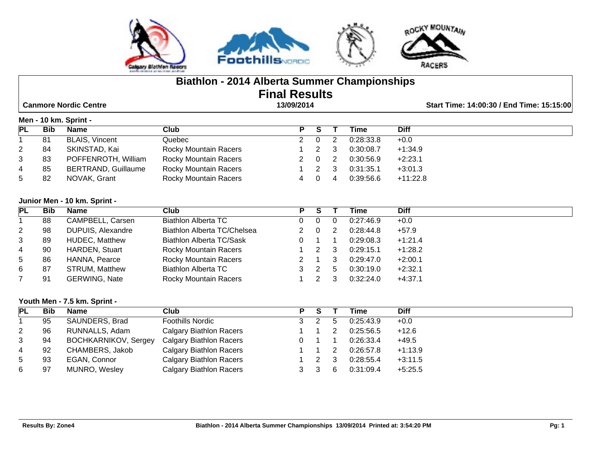

# **Biathlon - 2014 Alberta Summer Championships Final Results**

 **Canmore Nordic Centre 13/09/2014 Start Time: 14:00:30 / End Time: 15:15:00**

#### **Men - 10 km. Sprint -**

|                      |            | $\cdots$                   |                              |                |                |           |             |
|----------------------|------------|----------------------------|------------------------------|----------------|----------------|-----------|-------------|
| <b>PL</b>            | <b>Bib</b> | <b>Name</b>                | Club                         | P S            |                | Time      | <b>Diff</b> |
|                      | 81         | <b>BLAIS, Vincent</b>      | Quebec                       | - 0            |                | 0:28:33.8 | $+0.0$      |
| $\mathbf{2}^{\circ}$ | 84         | SKINSTAD, Kai              | <b>Rocky Mountain Racers</b> |                | - 3            | 0:30:08.7 | $+1:34.9$   |
| 3                    | 83         | POFFENROTH, William        | <b>Rocky Mountain Racers</b> | 2 0            | $\overline{2}$ | 0:30:56.9 | $+2:23.1$   |
| 4                    | 85         | <b>BERTRAND, Guillaume</b> | <b>Rocky Mountain Racers</b> |                | - 3            | 0:31:35.1 | $+3:01.3$   |
| 5                    | 82         | NOVAK, Grant               | <b>Rocky Mountain Racers</b> | $\overline{0}$ | -4             | 0.39:56.6 | $+11:22.8$  |

#### **Junior Men - 10 km. Sprint -**

| PL           | <b>Bib</b> | <b>Name</b>           | Club                         | Р | S |              | Time      | <b>Diff</b> |
|--------------|------------|-----------------------|------------------------------|---|---|--------------|-----------|-------------|
|              | 88         | CAMPBELL, Carsen      | <b>Biathlon Alberta TC</b>   |   |   |              | 0.27:46.9 | $+0.0$      |
| $\mathbf{2}$ | 98         | DUPUIS, Alexandre     | Biathlon Alberta TC/Chelsea  |   | 0 |              | 0:28:44.8 | $+57.9$     |
| 3            | 89         | <b>HUDEC, Matthew</b> | Biathlon Alberta TC/Sask     | 0 |   |              | 0:29:08.3 | $+1:21.4$   |
| 4            | 90         | <b>HARDEN, Stuart</b> | <b>Rocky Mountain Racers</b> |   |   | -3           | 0:29:15.1 | $+1:28.2$   |
| 5            | 86         | HANNA, Pearce         | <b>Rocky Mountain Racers</b> |   |   | 3            | 0:29:47.0 | $+2:00.1$   |
| 6            | 87         | <b>STRUM, Matthew</b> | <b>Biathlon Alberta TC</b>   |   |   | $\mathbf{b}$ | 0:30:19.0 | $+2:32.1$   |
|              | 91         | <b>GERWING, Nate</b>  | <b>Rocky Mountain Racers</b> |   |   |              | 0:32:24.0 | $+4:37.1$   |

#### **Youth Men - 7.5 km. Sprint -**

| PL             | Bib | <b>Name</b>          | Club                           | P | -S |   | Time      | <b>Diff</b> |
|----------------|-----|----------------------|--------------------------------|---|----|---|-----------|-------------|
|                | 95  | SAUNDERS, Brad       | <b>Foothills Nordic</b>        |   |    |   | 0:25:43.9 | $+0.0$      |
| $\overline{2}$ | 96  | RUNNALLS, Adam       | <b>Calgary Biathlon Racers</b> |   |    |   | 0:25:56.5 | $+12.6$     |
| 3              | 94  | BOCHKARNIKOV, Sergey | <b>Calgary Biathlon Racers</b> |   |    |   | 0:26:33.4 | $+49.5$     |
| 4              | 92  | CHAMBERS, Jakob      | <b>Calgary Biathlon Racers</b> |   |    |   | 0.26:57.8 | $+1:13.9$   |
| 5              | 93  | EGAN, Connor         | <b>Calgary Biathlon Racers</b> |   |    |   | 0:28:55.4 | $+3:11.5$   |
| 6              | 97  | MUNRO, Wesley        | <b>Calgary Biathlon Racers</b> |   |    | 6 | 0:31:09.4 | $+5:25.5$   |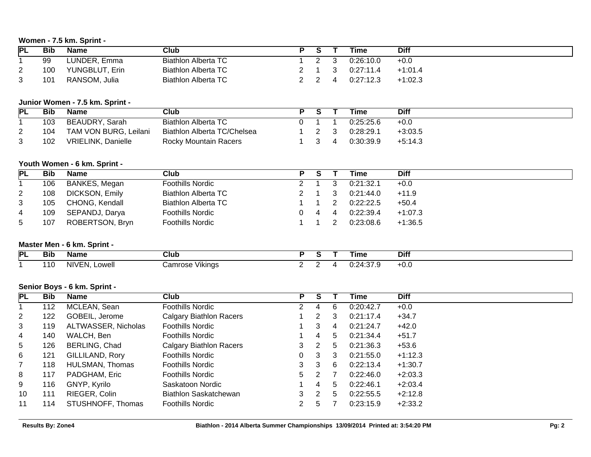## **Women - 7.5 km. Sprint -**

| <b>PL</b> | Bib | <b>Name</b>    | Club                |  | Time      | <b>Diff</b> |
|-----------|-----|----------------|---------------------|--|-----------|-------------|
|           | 99  | LUNDER, Emma   | Biathlon Alberta TC |  | 0.26:10.0 | $+0.0$      |
| <u>_</u>  | 100 | YUNGBLUT, Erin | Biathlon Alberta TC |  | 0.27:11.4 | $+1:01.4$   |
| ີ         | 101 | RANSOM, Julia  | Biathlon Alberta TC |  | 0:27:12.3 | $+1:02.3$   |

# **Junior Women - 7.5 km. Sprint -**

| PL | <b>Bib</b> | <b>Name</b>               | Club                        |  | Time      | <b>Diff</b> |
|----|------------|---------------------------|-----------------------------|--|-----------|-------------|
|    | 103        | BEAUDRY, Sarah            | Biathlon Alberta TC         |  | 0:25:25.6 | $+0.0$      |
|    | 104        | TAM VON BURG, Leilani     | Biathlon Alberta TC/Chelsea |  | 0:28:29.1 | $+3:03.5$   |
|    | 102        | <b>VRIELINK, Danielle</b> | Rocky Mountain Racers       |  | 0:30:39.9 | $+5:14.3$   |

#### **Youth Women - 6 km. Sprint -**

| <b>PL</b>            | <b>Bib</b> | Name                  | Club                       | P |     | Time      | <b>Diff</b> |
|----------------------|------------|-----------------------|----------------------------|---|-----|-----------|-------------|
|                      | 106        | BANKES, Megan         | <b>Foothills Nordic</b>    |   |     | 0:21:32.1 | $+0.0$      |
| $\mathbf{2}^{\circ}$ | 108        | <b>DICKSON, Emily</b> | <b>Biathlon Alberta TC</b> |   | - 3 | 0.21:44.0 | $+11.9$     |
| 3                    | 105        | CHONG, Kendall        | <b>Biathlon Alberta TC</b> |   |     | 0:22:22.5 | $+50.4$     |
| 4                    | 109        | SEPANDJ, Darya        | <b>Foothills Nordic</b>    |   |     | 0:22:39.4 | $+1:07.3$   |
| 5                    | 107        | ROBERTSON, Bryn       | <b>Foothills Nordic</b>    |   |     | 0.23:08.6 | $+1:36.5$   |

## **Master Men - 6 km. Sprint -**

| <b>PL</b> | - - -<br>Bit | Name                                      | Club               |  | Tıme                          | <b>Diff</b> |
|-----------|--------------|-------------------------------------------|--------------------|--|-------------------------------|-------------|
|           | .            | NIVEN<br>owei<br>$\overline{\phantom{a}}$ | ∶amrose<br>Vikings |  | <u> 74</u><br>الانت<br>.<br>. | ⊤∪.⊾        |

## **Senior Boys - 6 km. Sprint -**

| PL              | <b>Bib</b> | <b>Name</b>         | Club                           | Р  | S |   | Time      | <b>Diff</b> |
|-----------------|------------|---------------------|--------------------------------|----|---|---|-----------|-------------|
|                 | 112        | MCLEAN, Sean        | Foothills Nordic               |    | 4 | 6 | 0:20:42.7 | $+0.0$      |
| $\mathbf{2}$    | 122        | GOBEIL, Jerome      | <b>Calgary Biathlon Racers</b> |    | 2 | 3 | 0:21:17.4 | $+34.7$     |
| 3               | 119        | ALTWASSER, Nicholas | <b>Foothills Nordic</b>        |    | 3 | 4 | 0:21:24.7 | $+42.0$     |
| 4               | 140        | WALCH, Ben          | Foothills Nordic               |    | 4 | 5 | 0:21:34.4 | $+51.7$     |
| $5\overline{)}$ | 126        | BERLING, Chad       | <b>Calgary Biathlon Racers</b> | 3  |   | 5 | 0:21:36.3 | $+53.6$     |
| 6               | 121        | GILLILAND, Rory     | <b>Foothills Nordic</b>        | 0  | 3 | 3 | 0:21:55.0 | $+1:12.3$   |
| $7^{\circ}$     | 118        | HULSMAN, Thomas     | <b>Foothills Nordic</b>        | 3. | 3 | 6 | 0:22:13.4 | $+1:30.7$   |
| 8               | 117        | PADGHAM, Eric       | <b>Foothills Nordic</b>        | 5. | 2 |   | 0:22:46.0 | $+2:03.3$   |
| 9               | 116        | GNYP, Kyrilo        | Saskatoon Nordic               |    | 4 | 5 | 0:22:46.1 | $+2:03.4$   |
| 10              | 111        | RIEGER, Colin       | Biathlon Saskatchewan          | 3  | 2 | 5 | 0:22:55.5 | $+2:12.8$   |
| 11              | 114        | STUSHNOFF, Thomas   | Foothills Nordic               |    | 5 |   | 0:23:15.9 | $+2:33.2$   |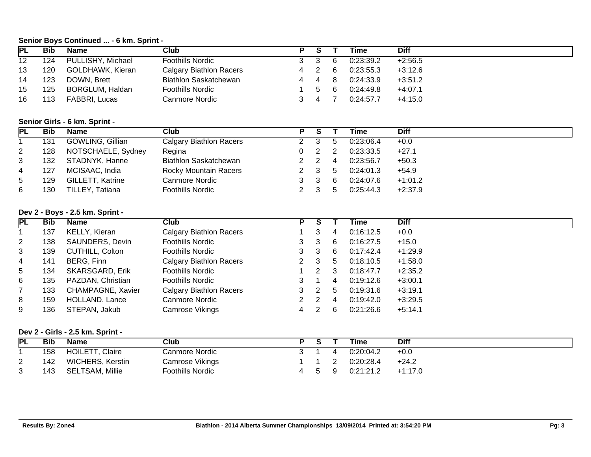#### **Senior Boys Continued ... - 6 km. Sprint -**

| <b>PL</b>       | <b>Bib</b> | <b>Name</b>                     | <b>Club</b>                    | P              | $\overline{\mathsf{s}}$ | т               | <b>Time</b> | <b>Diff</b> |
|-----------------|------------|---------------------------------|--------------------------------|----------------|-------------------------|-----------------|-------------|-------------|
| $\overline{12}$ | 124        | PULLISHY, Michael               | <b>Foothills Nordic</b>        | 3              | 3                       | 6               | 0:23:39.2   | $+2:56.5$   |
| 13              | 120        | GOLDHAWK, Kieran                | <b>Calgary Biathlon Racers</b> | 4              | 2                       | 6               | 0:23:55.3   | $+3:12.6$   |
| 14              | 123        | DOWN, Brett                     | <b>Biathlon Saskatchewan</b>   | 4              | 4                       | 8               | 0:24:33.9   | $+3:51.2$   |
| 15              | 125        | BORGLUM, Haldan                 | <b>Foothills Nordic</b>        |                | 5                       | 6               | 0:24:49.8   | $+4:07.1$   |
| 16              | 113        | FABBRI, Lucas                   | <b>Canmore Nordic</b>          | 3              | 4                       | $\overline{7}$  | 0:24:57.7   | $+4:15.0$   |
|                 |            |                                 |                                |                |                         |                 |             |             |
|                 |            | Senior Girls - 6 km. Sprint -   |                                |                |                         |                 |             |             |
| <b>PL</b>       | <b>Bib</b> | <b>Name</b>                     | <b>Club</b>                    | $\overline{P}$ | $\overline{s}$          | т               | <b>Time</b> | <b>Diff</b> |
| $\mathbf{1}$    | 131        | GOWLING, Gillian                | <b>Calgary Biathlon Racers</b> | $\overline{c}$ | $\sqrt{3}$              | 5               | 0:23:06.4   | $+0.0$      |
| $\overline{c}$  | 128        | NOTSCHAELE, Sydney              | Regina                         | 0              | $\overline{2}$          | 2               | 0:23:33.5   | $+27.1$     |
| 3               | 132        | STADNYK, Hanne                  | Biathlon Saskatchewan          | $\mathbf{2}$   | $\overline{2}$          | 4               | 0:23:56.7   | $+50.3$     |
| 4               | 127        | MCISAAC, India                  | Rocky Mountain Racers          | 2              | 3                       | $5\overline{)}$ | 0:24:01.3   | $+54.9$     |
| 5               | 129        | GILLETT, Katrine                | <b>Canmore Nordic</b>          | 3              | 3                       | 6               | 0:24:07.6   | $+1:01.2$   |
| 6               | 130        | TILLEY, Tatiana                 | <b>Foothills Nordic</b>        | $\overline{2}$ | 3                       | 5               | 0:25:44.3   | $+2:37.9$   |
|                 |            |                                 |                                |                |                         |                 |             |             |
|                 |            | Dev 2 - Boys - 2.5 km. Sprint - |                                |                |                         |                 |             |             |
| <b>PL</b>       | <b>Bib</b> | <b>Name</b>                     | <b>Club</b>                    | P              | $\overline{s}$          | Τ               | <b>Time</b> | <b>Diff</b> |
| $\mathbf{1}$    | 137        | <b>KELLY, Kieran</b>            | <b>Calgary Biathlon Racers</b> | 1              | 3                       | 4               | 0:16:12.5   | $+0.0$      |
| $\overline{2}$  | 138        | SAUNDERS, Devin                 | <b>Foothills Nordic</b>        | 3              | 3                       | 6               | 0:16:27.5   | $+15.0$     |
| 3               | 139        | <b>CUTHILL, Colton</b>          | <b>Foothills Nordic</b>        | 3              | 3                       | 6               | 0:17:42.4   | $+1:29.9$   |
| 4               | 141        | BERG, Finn                      | <b>Calgary Biathlon Racers</b> | 2              | 3                       | 5               | 0:18:10.5   | $+1:58.0$   |
| 5               | 134        | SKARSGARD, Erik                 | <b>Foothills Nordic</b>        |                | 2                       | 3               | 0:18:47.7   | $+2:35.2$   |
| 6               | 135        | PAZDAN, Christian               | <b>Foothills Nordic</b>        | 3              |                         | 4               | 0:19:12.6   | $+3:00.1$   |
| 7               | 133        | CHAMPAGNE, Xavier               | <b>Calgary Biathlon Racers</b> | 3              | $\overline{2}$          | $5\overline{)}$ | 0:19:31.6   | $+3:19.1$   |
| 8               | 159        | HOLLAND, Lance                  | <b>Canmore Nordic</b>          | 2              | $\boldsymbol{2}$        | 4               | 0:19:42.0   | $+3:29.5$   |
| 9               | 136        | STEPAN, Jakub                   | <b>Camrose Vikings</b>         | 4              | $\overline{2}$          | 6               | 0:21:26.6   | $+5:14.1$   |
|                 |            |                                 |                                |                |                         |                 |             |             |

# **Dev 2 - Girls - 2.5 km. Sprint -**

| <b>PL</b> | <b>Bib</b> | <b>Name</b>            | Club             | D. |                      | Time      | <b>Diff</b> |
|-----------|------------|------------------------|------------------|----|----------------------|-----------|-------------|
|           | 158        | <b>HOILETT, Claire</b> | Canmore Nordic   |    |                      | 0:20:04.2 | $+0.0$      |
| <u>_</u>  | 142        | WICHERS, Kerstin       | Camrose Vikings  |    |                      | 0:20:28.4 | $+24.2$     |
| 2         | 143        | <b>SELTSAM, Millie</b> | Foothills Nordic |    | $\ddot{\phantom{1}}$ | 0:21:21.2 | $+1:17.0$   |